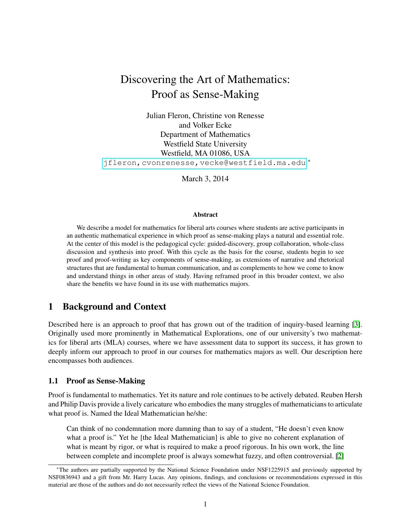# Discovering the Art of Mathematics: Proof as Sense-Making

Julian Fleron, Christine von Renesse and Volker Ecke Department of Mathematics Westfield State University Westfield, MA 01086, USA <jfleron,cvonrenesse,vecke@westfield.ma.edu> <sup>∗</sup>

March 3, 2014

#### Abstract

We describe a model for mathematics for liberal arts courses where students are active participants in an authentic mathematical experience in which proof as sense-making plays a natural and essential role. At the center of this model is the pedagogical cycle: guided-discovery, group collaboration, whole-class discussion and synthesis into proof. With this cycle as the basis for the course, students begin to see proof and proof-writing as key components of sense-making, as extensions of narrative and rhetorical structures that are fundamental to human communication, and as complements to how we come to know and understand things in other areas of study. Having reframed proof in this broader context, we also share the benefits we have found in its use with mathematics majors.

## 1 Background and Context

Described here is an approach to proof that has grown out of the tradition of inquiry-based learning [\[3\]](#page-9-0). Originally used more prominently in Mathematical Explorations, one of our university's two mathematics for liberal arts (MLA) courses, where we have assessment data to support its success, it has grown to deeply inform our approach to proof in our courses for mathematics majors as well. Our description here encompasses both audiences.

#### 1.1 Proof as Sense-Making

Proof is fundamental to mathematics. Yet its nature and role continues to be actively debated. Reuben Hersh and Philip Davis provide a lively caricature who embodies the many struggles of mathematicians to articulate what proof is. Named the Ideal Mathematician he/she:

Can think of no condemnation more damning than to say of a student, "He doesn't even know what a proof is." Yet he [the Ideal Mathematician] is able to give no coherent explanation of what is meant by rigor, or what is required to make a proof rigorous. In his own work, the line between complete and incomplete proof is always somewhat fuzzy, and often controversial. [\[2\]](#page-9-1)

<sup>∗</sup>The authors are partially supported by the National Science Foundation under NSF1225915 and previously supported by NSF0836943 and a gift from Mr. Harry Lucas. Any opinions, findings, and conclusions or recommendations expressed in this material are those of the authors and do not necessarily reflect the views of the National Science Foundation.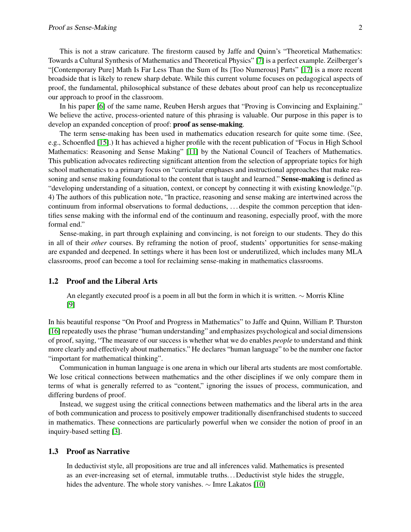This is not a straw caricature. The firestorm caused by Jaffe and Quinn's "Theoretical Mathematics: Towards a Cultural Synthesis of Mathematics and Theoretical Physics" [\[7\]](#page-9-2) is a perfect example. Zeilberger's "[Contemporary Pure] Math Is Far Less Than the Sum of Its [Too Numerous] Parts" [\[17\]](#page-10-0) is a more recent broadside that is likely to renew sharp debate. While this current volume focuses on pedagogical aspects of proof, the fundamental, philosophical substance of these debates about proof can help us reconceptualize our approach to proof in the classroom.

In his paper [\[6\]](#page-9-3) of the same name, Reuben Hersh argues that "Proving is Convincing and Explaining." We believe the active, process-oriented nature of this phrasing is valuable. Our purpose in this paper is to develop an expanded conception of proof: proof as sense-making.

The term sense-making has been used in mathematics education research for quite some time. (See, e.g., Schoenfled [\[15\]](#page-10-1).) It has achieved a higher profile with the recent publication of "Focus in High School Mathematics: Reasoning and Sense Making" [\[11\]](#page-9-4) by the National Council of Teachers of Mathematics. This publication advocates redirecting significant attention from the selection of appropriate topics for high school mathematics to a primary focus on "curricular emphases and instructional approaches that make reasoning and sense making foundational to the content that is taught and learned." **Sense-making** is defined as "developing understanding of a situation, context, or concept by connecting it with existing knowledge."(p. 4) The authors of this publication note, "In practice, reasoning and sense making are intertwined across the continuum from informal observations to formal deductions, . . . despite the common perception that identifies sense making with the informal end of the continuum and reasoning, especially proof, with the more formal end."

Sense-making, in part through explaining and convincing, is not foreign to our students. They do this in all of their *other* courses. By reframing the notion of proof, students' opportunities for sense-making are expanded and deepened. In settings where it has been lost or underutilized, which includes many MLA classrooms, proof can become a tool for reclaiming sense-making in mathematics classrooms.

#### 1.2 Proof and the Liberal Arts

An elegantly executed proof is a poem in all but the form in which it is written. ∼ Morris Kline [\[9\]](#page-9-5)

In his beautiful response "On Proof and Progress in Mathematics" to Jaffe and Quinn, William P. Thurston [\[16\]](#page-10-2) repeatedly uses the phrase "human understanding" and emphasizes psychological and social dimensions of proof, saying, "The measure of our success is whether what we do enables *people* to understand and think more clearly and effectively about mathematics." He declares "human language" to be the number one factor "important for mathematical thinking".

Communication in human language is one arena in which our liberal arts students are most comfortable. We lose critical connections between mathematics and the other disciplines if we only compare them in terms of what is generally referred to as "content," ignoring the issues of process, communication, and differing burdens of proof.

Instead, we suggest using the critical connections between mathematics and the liberal arts in the area of both communication and process to positively empower traditionally disenfranchised students to succeed in mathematics. These connections are particularly powerful when we consider the notion of proof in an inquiry-based setting [\[3\]](#page-9-0).

#### 1.3 Proof as Narrative

In deductivist style, all propositions are true and all inferences valid. Mathematics is presented as an ever-increasing set of eternal, immutable truths. . . Deductivist style hides the struggle, hides the adventure. The whole story vanishes. ∼ Imre Lakatos [\[10\]](#page-9-6)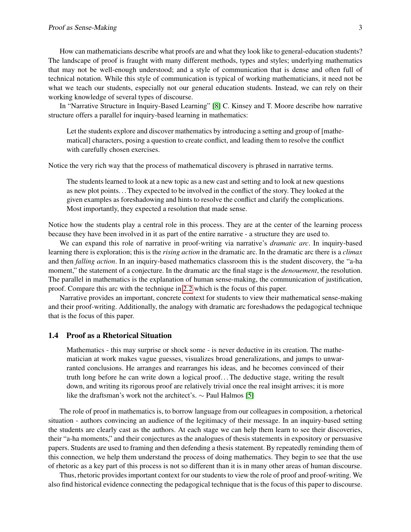How can mathematicians describe what proofs are and what they look like to general-education students? The landscape of proof is fraught with many different methods, types and styles; underlying mathematics that may not be well-enough understood; and a style of communication that is dense and often full of technical notation. While this style of communication is typical of working mathematicians, it need not be what we teach our students, especially not our general education students. Instead, we can rely on their working knowledge of several types of discourse.

In "Narrative Structure in Inquiry-Based Learning" [\[8\]](#page-9-7) C. Kinsey and T. Moore describe how narrative structure offers a parallel for inquiry-based learning in mathematics:

Let the students explore and discover mathematics by introducing a setting and group of [mathematical] characters, posing a question to create conflict, and leading them to resolve the conflict with carefully chosen exercises.

Notice the very rich way that the process of mathematical discovery is phrased in narrative terms.

The students learned to look at a new topic as a new cast and setting and to look at new questions as new plot points. . . They expected to be involved in the conflict of the story. They looked at the given examples as foreshadowing and hints to resolve the conflict and clarify the complications. Most importantly, they expected a resolution that made sense.

Notice how the students play a central role in this process. They are at the center of the learning process because they have been involved in it as part of the entire narrative - a structure they are used to.

We can expand this role of narrative in proof-writing via narrative's *dramatic arc*. In inquiry-based learning there is exploration; this is the *rising action* in the dramatic arc. In the dramatic arc there is a *climax* and then *falling action*. In an inquiry-based mathematics classroom this is the student discovery, the "a-ha moment," the statement of a conjecture. In the dramatic arc the final stage is the *denouement*, the resolution. The parallel in mathematics is the explanation of human sense-making, the communication of justification, proof. Compare this arc with the technique in [2.2](#page-5-0) which is the focus of this paper.

Narrative provides an important, concrete context for students to view their mathematical sense-making and their proof-writing. Additionally, the analogy with dramatic arc foreshadows the pedagogical technique that is the focus of this paper.

#### 1.4 Proof as a Rhetorical Situation

Mathematics - this may surprise or shock some - is never deductive in its creation. The mathematician at work makes vague guesses, visualizes broad generalizations, and jumps to unwarranted conclusions. He arranges and rearranges his ideas, and he becomes convinced of their truth long before he can write down a logical proof. . . The deductive stage, writing the result down, and writing its rigorous proof are relatively trivial once the real insight arrives; it is more like the draftsman's work not the architect's. ∼ Paul Halmos [\[5\]](#page-9-8)

The role of proof in mathematics is, to borrow language from our colleagues in composition, a rhetorical situation - authors convincing an audience of the legitimacy of their message. In an inquiry-based setting the students are clearly cast as the authors. At each stage we can help them learn to see their discoveries, their "a-ha moments," and their conjectures as the analogues of thesis statements in expository or persuasive papers. Students are used to framing and then defending a thesis statement. By repeatedly reminding them of this connection, we help them understand the process of doing mathematics. They begin to see that the use of rhetoric as a key part of this process is not so different than it is in many other areas of human discourse.

Thus, rhetoric provides important context for our students to view the role of proof and proof-writing. We also find historical evidence connecting the pedagogical technique that is the focus of this paper to discourse.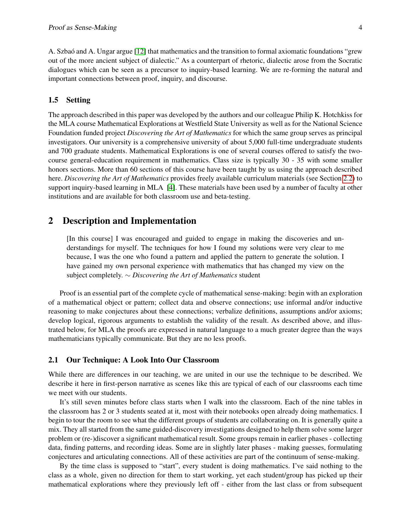A. Szbaó and A. Ungar argue [\[12\]](#page-9-9) that mathematics and the transition to formal axiomatic foundations "grew out of the more ancient subject of dialectic." As a counterpart of rhetoric, dialectic arose from the Socratic dialogues which can be seen as a precursor to inquiry-based learning. We are re-forming the natural and important connections between proof, inquiry, and discourse.

#### 1.5 Setting

The approach described in this paper was developed by the authors and our colleague Philip K. Hotchkiss for the MLA course Mathematical Explorations at Westfield State University as well as for the National Science Foundation funded project *Discovering the Art of Mathematics* for which the same group serves as principal investigators. Our university is a comprehensive university of about 5,000 full-time undergraduate students and 700 graduate students. Mathematical Explorations is one of several courses offered to satisfy the twocourse general-education requirement in mathematics. Class size is typically 30 - 35 with some smaller honors sections. More than 60 sections of this course have been taught by us using the approach described here. *Discovering the Art of Mathematics* provides freely available curriculum materials (see Section [2.2\)](#page-5-0) to support inquiry-based learning in MLA [\[4\]](#page-9-10). These materials have been used by a number of faculty at other institutions and are available for both classroom use and beta-testing.

## 2 Description and Implementation

[In this course] I was encouraged and guided to engage in making the discoveries and understandings for myself. The techniques for how I found my solutions were very clear to me because, I was the one who found a pattern and applied the pattern to generate the solution. I have gained my own personal experience with mathematics that has changed my view on the subject completely. ∼ *Discovering the Art of Mathematics* student

Proof is an essential part of the complete cycle of mathematical sense-making: begin with an exploration of a mathematical object or pattern; collect data and observe connections; use informal and/or inductive reasoning to make conjectures about these connections; verbalize definitions, assumptions and/or axioms; develop logical, rigorous arguments to establish the validity of the result. As described above, and illustrated below, for MLA the proofs are expressed in natural language to a much greater degree than the ways mathematicians typically communicate. But they are no less proofs.

#### 2.1 Our Technique: A Look Into Our Classroom

While there are differences in our teaching, we are united in our use the technique to be described. We describe it here in first-person narrative as scenes like this are typical of each of our classrooms each time we meet with our students.

It's still seven minutes before class starts when I walk into the classroom. Each of the nine tables in the classroom has 2 or 3 students seated at it, most with their notebooks open already doing mathematics. I begin to tour the room to see what the different groups of students are collaborating on. It is generally quite a mix. They all started from the same guided-discovery investigations designed to help them solve some larger problem or (re-)discover a significant mathematical result. Some groups remain in earlier phases - collecting data, finding patterns, and recording ideas. Some are in slightly later phases - making guesses, formulating conjectures and articulating connections. All of these activities are part of the continuum of sense-making.

By the time class is supposed to "start", every student is doing mathematics. I've said nothing to the class as a whole, given no direction for them to start working, yet each student/group has picked up their mathematical explorations where they previously left off - either from the last class or from subsequent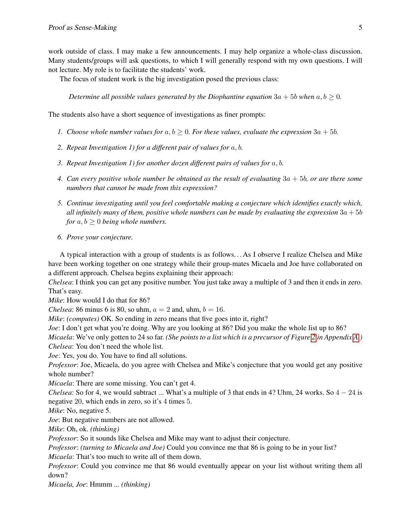work outside of class. I may make a few announcements. I may help organize a whole-class discussion. Many students/groups will ask questions, to which I will generally respond with my own questions. I will not lecture. My role is to facilitate the students' work.

The focus of student work is the big investigation posed the previous class:

*Determine all possible values generated by the Diophantine equation*  $3a + 5b$  *when*  $a, b \ge 0$ *.* 

The students also have a short sequence of investigations as finer prompts:

- *1. Choose whole number values for*  $a, b \ge 0$ *. For these values, evaluate the expression*  $3a + 5b$ *.*
- *2. Repeat Investigation 1) for a different pair of values for* a, b*.*
- *3. Repeat Investigation 1) for another dozen different pairs of values for* a, b*.*
- *4. Can every positive whole number be obtained as the result of evaluating* 3a + 5b*, or are there some numbers that cannot be made from this expression?*
- *5. Continue investigating until you feel comfortable making a conjecture which identifies exactly which, all infinitely many of them, positive whole numbers can be made by evaluating the expression*  $3a + 5b$ *for*  $a, b \geq 0$  *being whole numbers.*
- *6. Prove your conjecture.*

A typical interaction with a group of students is as follows. . . As I observe I realize Chelsea and Mike have been working together on one strategy while their group-mates Micaela and Joe have collaborated on a different approach. Chelsea begins explaining their approach:

*Chelsea*: I think you can get any positive number. You just take away a multiple of 3 and then it ends in zero. That's easy.

*Mike*: How would I do that for 86?

*Chelsea*: 86 minus 6 is 80, so uhm,  $a = 2$  and, uhm,  $b = 16$ .

*Mike*: *(computes)* OK. So ending in zero means that five goes into it, right?

*Joe*: I don't get what you're doing. Why are you looking at 86? Did you make the whole list up to 86?

*Micaela*: We've only gotten to 24 so far. *(She points to a list which is a precursor of Figure [2](#page-11-0) in Appendix [A.](#page-11-1)) Chelsea*: You don't need the whole list.

*Joe*: Yes, you do. You have to find all solutions.

*Professor*: Joe, Micaela, do you agree with Chelsea and Mike's conjecture that you would get any positive whole number?

*Micaela*: There are some missing. You can't get 4.

*Chelsea*: So for 4, we would subtract ... What's a multiple of 3 that ends in 4? Uhm, 24 works. So  $4 - 24$  is negative 20, which ends in zero, so it's 4 times 5.

*Mike*: No, negative 5.

*Joe*: But negative numbers are not allowed.

*Mike*: Oh, ok. *(thinking)*

*Professor*: So it sounds like Chelsea and Mike may want to adjust their conjecture.

*Professor*: *(turning to Micaela and Joe)* Could you convince me that 86 is going to be in your list?

*Micaela*: That's too much to write all of them down.

*Professor*: Could you convince me that 86 would eventually appear on your list without writing them all down?

*Micaela, Joe*: Hmmm ... *(thinking)*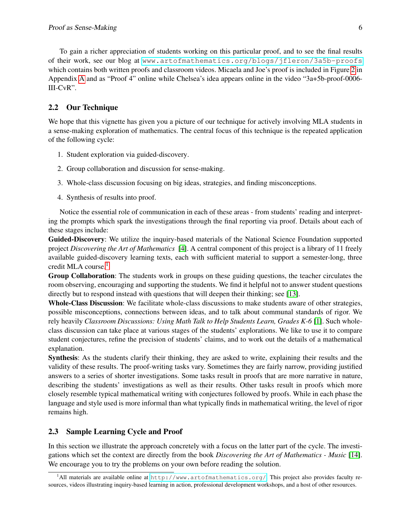To gain a richer appreciation of students working on this particular proof, and to see the final results of their work, see our blog at <www.artofmathematics.org/blogs/jfleron/3a5b-proofs> which contains both written proofs and classroom videos. Micaela and Joe's proof is included in Figure [2](#page-11-0) in Appendix [A](#page-11-1) and as "Proof 4" online while Chelsea's idea appears online in the video "3a+5b-proof-0006- III-CvR".

## <span id="page-5-0"></span>2.2 Our Technique

We hope that this vignette has given you a picture of our technique for actively involving MLA students in a sense-making exploration of mathematics. The central focus of this technique is the repeated application of the following cycle:

- 1. Student exploration via guided-discovery.
- 2. Group collaboration and discussion for sense-making.
- 3. Whole-class discussion focusing on big ideas, strategies, and finding misconceptions.
- 4. Synthesis of results into proof.

Notice the essential role of communication in each of these areas - from students' reading and interpreting the prompts which spark the investigations through the final reporting via proof. Details about each of these stages include:

Guided-Discovery: We utilize the inquiry-based materials of the National Science Foundation supported project *Discovering the Art of Mathematics* [\[4\]](#page-9-10). A central component of this project is a library of 11 freely available guided-discovery learning texts, each with sufficient material to support a semester-long, three credit MLA course.<sup>[1](#page-5-1)</sup>

Group Collaboration: The students work in groups on these guiding questions, the teacher circulates the room observing, encouraging and supporting the students. We find it helpful not to answer student questions directly but to respond instead with questions that will deepen their thinking; see [\[13\]](#page-9-11).

Whole-Class Discussion: We facilitate whole-class discussions to make students aware of other strategies, possible misconceptions, connections between ideas, and to talk about communal standards of rigor. We rely heavily *Classroom Discussions: Using Math Talk to Help Students Learn, Grades K-6* [\[1\]](#page-9-12). Such wholeclass discussion can take place at various stages of the students' explorations. We like to use it to compare student conjectures, refine the precision of students' claims, and to work out the details of a mathematical explanation.

Synthesis: As the students clarify their thinking, they are asked to write, explaining their results and the validity of these results. The proof-writing tasks vary. Sometimes they are fairly narrow, providing justified answers to a series of shorter investigations. Some tasks result in proofs that are more narrative in nature, describing the students' investigations as well as their results. Other tasks result in proofs which more closely resemble typical mathematical writing with conjectures followed by proofs. While in each phase the language and style used is more informal than what typically finds in mathematical writing, the level of rigor remains high.

## 2.3 Sample Learning Cycle and Proof

In this section we illustrate the approach concretely with a focus on the latter part of the cycle. The investigations which set the context are directly from the book *Discovering the Art of Mathematics - Music* [\[14\]](#page-10-3). We encourage you to try the problems on your own before reading the solution.

<span id="page-5-1"></span><sup>&</sup>lt;sup>1</sup>All materials are available online at <http://www.artofmathematics.org/>. This project also provides faculty resources, videos illustrating inquiry-based learning in action, professional development workshops, and a host of other resources.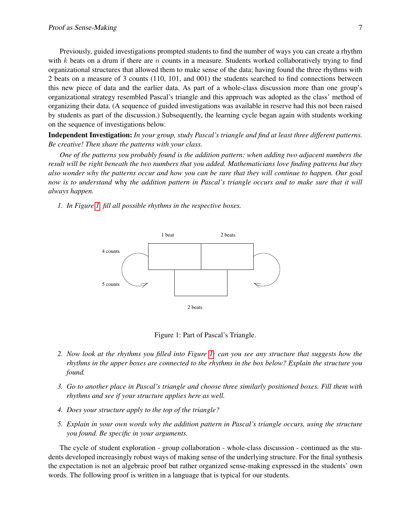Previously, guided investigations prompted students to find the number of ways you can create a rhythm with k beats on a drum if there are  $n$  counts in a measure. Students worked collaboratively trying to find organizational structures that allowed them to make sense of the data; having found the three rhythms with 2 beats on a measure of 3 counts (110, 101, and 001) the students searched to find connections between this new piece of data and the earlier data. As part of a whole-class discussion more than one group's organizational strategy resembled Pascal's triangle and this approach was adopted as the class' method of organizing their data. (A sequence of guided investigations was available in reserve had this not been raised by students as part of the discussion.) Subsequently, the learning cycle began again with students working on the sequence of investigations below.

Independent Investigation: *In your group, study Pascal's triangle and find at least three different patterns. Be creative! Then share the patterns with your class.*

*One of the patterns you probably found is the addition pattern: when adding two adjacent numbers the result will be right beneath the two numbers that you added. Mathematicians love finding patterns but they also wonder why the patterns occur and how you can be sure that they will continue to happen. Our goal now is to understand* why *the addition pattern in Pascal's triangle occurs and to make sure that it will always happen.*

*1. In Figure [1,](#page-6-0) fill all possible rhythms in the respective boxes.*



<span id="page-6-0"></span>Figure 1: Part of Pascal's Triangle.

- *2. Now look at the rhythms you filled into Figure [1;](#page-6-0) can you see any structure that suggests how the rhythms in the upper boxes are connected to the rhythms in the box below? Explain the structure you found.*
- *3. Go to another place in Pascal's triangle and choose three similarly positioned boxes. Fill them with rhythms and see if your structure applies here as well.*
- *4. Does your structure apply to the top of the triangle?*
- *5. Explain in your own words why the addition pattern in Pascal's triangle occurs, using the structure you found. Be specific in your arguments.*

The cycle of student exploration - group collaboration - whole-class discussion - continued as the students developed increasingly robust ways of making sense of the underlying structure. For the final synthesis the expectation is not an algebraic proof but rather organized sense-making expressed in the students' own words. The following proof is written in a language that is typical for our students.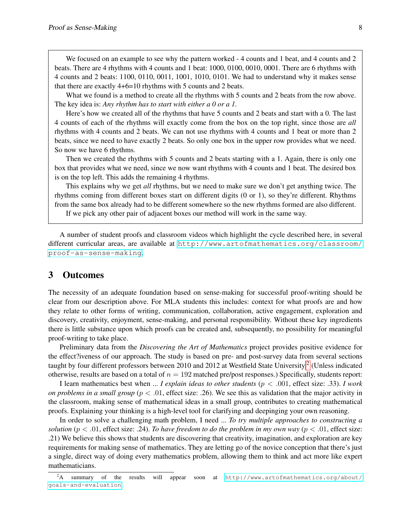We focused on an example to see why the pattern worked - 4 counts and 1 beat, and 4 counts and 2 beats. There are 4 rhythms with 4 counts and 1 beat: 1000, 0100, 0010, 0001. There are 6 rhythms with 4 counts and 2 beats: 1100, 0110, 0011, 1001, 1010, 0101. We had to understand why it makes sense that there are exactly 4+6=10 rhythms with 5 counts and 2 beats.

What we found is a method to create all the rhythms with 5 counts and 2 beats from the row above. The key idea is: *Any rhythm has to start with either a 0 or a 1.*

Here's how we created all of the rhythms that have 5 counts and 2 beats and start with a 0. The last 4 counts of each of the rhythms will exactly come from the box on the top right, since those are *all* rhythms with 4 counts and 2 beats. We can not use rhythms with 4 counts and 1 beat or more than 2 beats, since we need to have exactly 2 beats. So only one box in the upper row provides what we need. So now we have 6 rhythms.

Then we created the rhythms with 5 counts and 2 beats starting with a 1. Again, there is only one box that provides what we need, since we now want rhythms with 4 counts and 1 beat. The desired box is on the top left. This adds the remaining 4 rhythms.

This explains why we get *all* rhythms, but we need to make sure we don't get anything twice. The rhythms coming from different boxes start on different digits (0 or 1), so they're different. Rhythms from the same box already had to be different somewhere so the new rhythms formed are also different. If we pick any other pair of adjacent boxes our method will work in the same way.

A number of student proofs and classroom videos which highlight the cycle described here, in several different curricular areas, are available at [http://www.artofmathematics.org/classroom/](http://www.artofmathematics.org/classroom/proof-as-sense-making) [proof-as-sense-making](http://www.artofmathematics.org/classroom/proof-as-sense-making).

## 3 Outcomes

The necessity of an adequate foundation based on sense-making for successful proof-writing should be clear from our description above. For MLA students this includes: context for what proofs are and how they relate to other forms of writing, communication, collaboration, active engagement, exploration and discovery, creativity, enjoyment, sense-making, and personal responsibility. Without these key ingredients there is little substance upon which proofs can be created and, subsequently, no possibility for meaningful proof-writing to take place.

Preliminary data from the *Discovering the Art of Mathematics* project provides positive evidence for the effect?iveness of our approach. The study is based on pre- and post-survey data from several sections taught by four different professors between [2](#page-7-0)010 and 2012 at Westfield State University.<sup>2</sup> (Unless indicated otherwise, results are based on a total of  $n = 192$  matched pre/post responses.) Specifically, students report:

I learn mathematics best when ... *I explain ideas to other students* (p < .001, effect size: .33). *I work on problems in a small group* ( $p < .01$ , effect size: .26). We see this as validation that the major activity in the classroom, making sense of mathematical ideas in a small group, contributes to creating mathematical proofs. Explaining your thinking is a high-level tool for clarifying and deepinging your own reasoning.

In order to solve a challenging math problem, I need ... *To try multiple approaches to constructing a solution* ( $p < .01$ , effect size: .24). *To have freedom to do the problem in my own way* ( $p < .01$ , effect size: .21) We believe this shows that students are discovering that creativity, imagination, and exploration are key requirements for making sense of mathematics. They are letting go of the novice conception that there's just a single, direct way of doing every mathematics problem, allowing them to think and act more like expert mathematicians.

<span id="page-7-0"></span> $2A$  summary of the results will appear soon at [http://www.artofmathematics.org/about/](http://www.artofmathematics.org/about/goals-and-evaluation) [goals-and-evaluation](http://www.artofmathematics.org/about/goals-and-evaluation).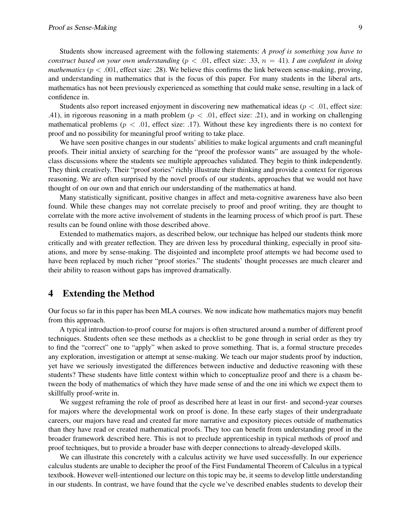Students show increased agreement with the following statements: *A proof is something you have to construct based on your own understanding* ( $p < .01$ , effect size: .33,  $n = 41$ ). *I am confident in doing mathematics* ( $p < .001$ , effect size: .28). We believe this confirms the link between sense-making, proving, and understanding in mathematics that is the focus of this paper. For many students in the liberal arts, mathematics has not been previously experienced as something that could make sense, resulting in a lack of confidence in.

Students also report increased enjoyment in discovering new mathematical ideas ( $p < .01$ , effect size: .41), in rigorous reasoning in a math problem ( $p < .01$ , effect size: .21), and in working on challenging mathematical problems ( $p < .01$ , effect size: .17). Without these key ingredients there is no context for proof and no possibility for meaningful proof writing to take place.

We have seen positive changes in our students' abilities to make logical arguments and craft meaningful proofs. Their initial anxiety of searching for the "proof the professor wants" are assuaged by the wholeclass discussions where the students see multiple approaches validated. They begin to think independently. They think creatively. Their "proof stories" richly illustrate their thinking and provide a context for rigorous reasoning. We are often surprised by the novel proofs of our students, approaches that we would not have thought of on our own and that enrich our understanding of the mathematics at hand.

Many statistically significant, positive changes in affect and meta-cognitive awareness have also been found. While these changes may not correlate precisely to proof and proof writing, they are thought to correlate with the more active involvement of students in the learning process of which proof is part. These results can be found online with those described above.

Extended to mathematics majors, as described below, our technique has helped our students think more critically and with greater reflection. They are driven less by procedural thinking, especially in proof situations, and more by sense-making. The disjointed and incomplete proof attempts we had become used to have been replaced by much richer "proof stories." The students' thought processes are much clearer and their ability to reason without gaps has improved dramatically.

## 4 Extending the Method

Our focus so far in this paper has been MLA courses. We now indicate how mathematics majors may benefit from this approach.

A typical introduction-to-proof course for majors is often structured around a number of different proof techniques. Students often see these methods as a checklist to be gone through in serial order as they try to find the "correct" one to "apply" when asked to prove something. That is, a formal structure precedes any exploration, investigation or attempt at sense-making. We teach our major students proof by induction, yet have we seriously investigated the differences between inductive and deductive reasoning with these students? These students have little context within which to conceptualize proof and there is a chasm between the body of mathematics of which they have made sense of and the one ini which we expect them to skillfully proof-write in.

We suggest reframing the role of proof as described here at least in our first- and second-year courses for majors where the developmental work on proof is done. In these early stages of their undergraduate careers, our majors have read and created far more narrative and expository pieces outside of mathematics than they have read or created mathematical proofs. They too can benefit from understanding proof in the broader framework described here. This is not to preclude apprenticeship in typical methods of proof and proof techniques, but to provide a broader base with deeper connections to already-developed skills.

We can illustrate this concretely with a calculus activity we have used successfully. In our experience calculus students are unable to decipher the proof of the First Fundamental Theorem of Calculus in a typical textbook. However well-intentioned our lecture on this topic may be, it seems to develop little understanding in our students. In contrast, we have found that the cycle we've described enables students to develop their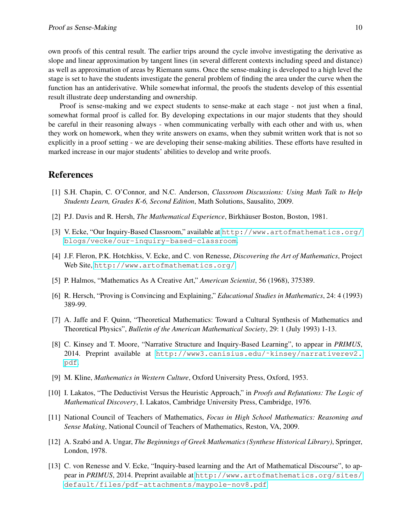own proofs of this central result. The earlier trips around the cycle involve investigating the derivative as slope and linear approximation by tangent lines (in several different contexts including speed and distance) as well as approximation of areas by Riemann sums. Once the sense-making is developed to a high level the stage is set to have the students investigate the general problem of finding the area under the curve when the function has an antiderivative. While somewhat informal, the proofs the students develop of this essential result illustrate deep understanding and ownership.

Proof is sense-making and we expect students to sense-make at each stage - not just when a final, somewhat formal proof is called for. By developing expectations in our major students that they should be careful in their reasoning always - when communicating verbally with each other and with us, when they work on homework, when they write answers on exams, when they submit written work that is not so explicitly in a proof setting - we are developing their sense-making abilities. These efforts have resulted in marked increase in our major students' abilities to develop and write proofs.

## References

- <span id="page-9-12"></span>[1] S.H. Chapin, C. O'Connor, and N.C. Anderson, *Classroom Discussions: Using Math Talk to Help Students Learn, Grades K-6, Second Edition*, Math Solutions, Sausalito, 2009.
- <span id="page-9-1"></span>[2] P.J. Davis and R. Hersh, *The Mathematical Experience*, Birkhäuser Boston, Boston, 1981.
- <span id="page-9-0"></span>[3] V. Ecke, "Our Inquiry-Based Classroom," available at [http://www.artofmathematics.org/](http://www.artofmathematics.org/blogs/vecke/our-inquiry-based-classroom) [blogs/vecke/our-inquiry-based-classroom](http://www.artofmathematics.org/blogs/vecke/our-inquiry-based-classroom).
- <span id="page-9-10"></span>[4] J.F. Fleron, P.K. Hotchkiss, V. Ecke, and C. von Renesse, *Discovering the Art of Mathematics*, Project Web Site, <http://www.artofmathematics.org/>.
- <span id="page-9-8"></span>[5] P. Halmos, "Mathematics As A Creative Art," *American Scientist*, 56 (1968), 375389.
- <span id="page-9-3"></span>[6] R. Hersch, "Proving is Convincing and Explaining," *Educational Studies in Mathematics*, 24: 4 (1993) 389-99.
- <span id="page-9-2"></span>[7] A. Jaffe and F. Quinn, "Theoretical Mathematics: Toward a Cultural Synthesis of Mathematics and Theoretical Physics", *Bulletin of the American Mathematical Society*, 29: 1 (July 1993) 1-13.
- <span id="page-9-7"></span>[8] C. Kinsey and T. Moore, "Narrative Structure and Inquiry-Based Learning", to appear in *PRIMUS*, 2014. Preprint available at [http://www3.canisius.edu/˜kinsey/narrativerev2.](http://www3.canisius.edu/~kinsey/narrativerev2.pdf) [pdf](http://www3.canisius.edu/~kinsey/narrativerev2.pdf).
- <span id="page-9-5"></span>[9] M. Kline, *Mathematics in Western Culture*, Oxford University Press, Oxford, 1953.
- <span id="page-9-6"></span>[10] I. Lakatos, "The Deductivist Versus the Heuristic Approach," in *Proofs and Refutations: The Logic of Mathematical Discovery*, I. Lakatos, Cambridge University Press, Cambridge, 1976.
- <span id="page-9-4"></span>[11] National Council of Teachers of Mathematics, *Focus in High School Mathematics: Reasoning and Sense Making*, National Council of Teachers of Mathematics, Reston, VA, 2009.
- <span id="page-9-9"></span>[12] A. Szabó and A. Ungar, *The Beginnings of Greek Mathematics (Synthese Historical Library)*, Springer, London, 1978.
- <span id="page-9-11"></span>[13] C. von Renesse and V. Ecke, "Inquiry-based learning and the Art of Mathematical Discourse", to appear in *PRIMUS*, 2014. Preprint available at [http://www.artofmathematics.org/sites/](http://www.artofmathematics.org/sites/default/files/pdf-attachments/maypole-nov8.pdf) [default/files/pdf-attachments/maypole-nov8.pdf](http://www.artofmathematics.org/sites/default/files/pdf-attachments/maypole-nov8.pdf)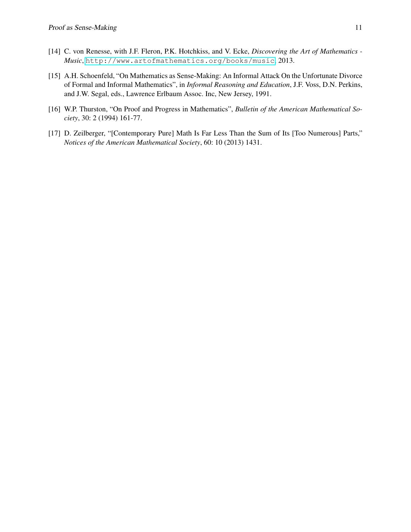- <span id="page-10-3"></span>[14] C. von Renesse, with J.F. Fleron, P.K. Hotchkiss, and V. Ecke, *Discovering the Art of Mathematics - Music*, <http://www.artofmathematics.org/books/music>, 2013.
- <span id="page-10-1"></span>[15] A.H. Schoenfeld, "On Mathematics as Sense-Making: An Informal Attack On the Unfortunate Divorce of Formal and Informal Mathematics", in *Informal Reasoning and Education*, J.F. Voss, D.N. Perkins, and J.W. Segal, eds., Lawrence Erlbaum Assoc. Inc, New Jersey, 1991.
- <span id="page-10-2"></span>[16] W.P. Thurston, "On Proof and Progress in Mathematics", *Bulletin of the American Mathematical Society*, 30: 2 (1994) 161-77.
- <span id="page-10-0"></span>[17] D. Zeilberger, "[Contemporary Pure] Math Is Far Less Than the Sum of Its [Too Numerous] Parts," *Notices of the American Mathematical Society*, 60: 10 (2013) 1431.